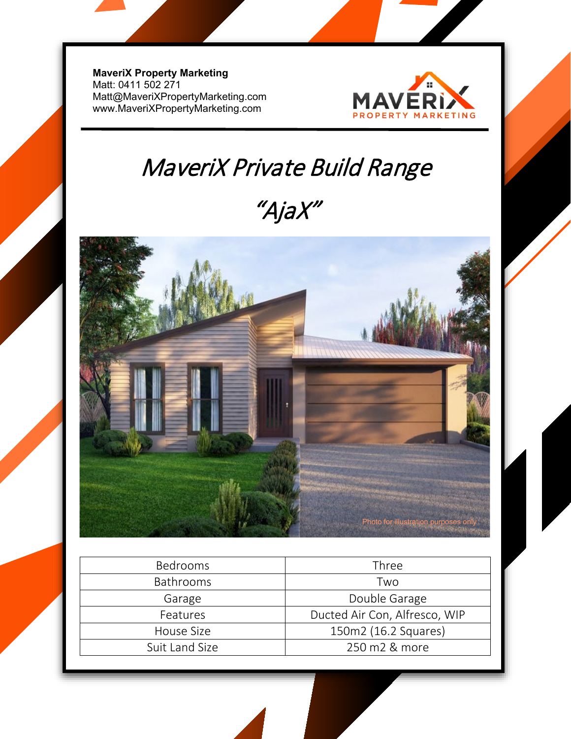**MaveriX Property Marketing** Matt: 0411 502 271 [Matt@MaveriXPropertyMarketing.com](mailto:Matt@MaveriXPropertyMarketing.com) www.MaveriXPropertyMarketing.com



## MaveriX Private Build Range

"AjaX"



| <b>Bedrooms</b>  | Three                         |
|------------------|-------------------------------|
| <b>Bathrooms</b> | Two                           |
| Garage           | Double Garage                 |
| Features         | Ducted Air Con, Alfresco, WIP |
| House Size       | 150m2 (16.2 Squares)          |
| Suit Land Size   | 250 m2 & more                 |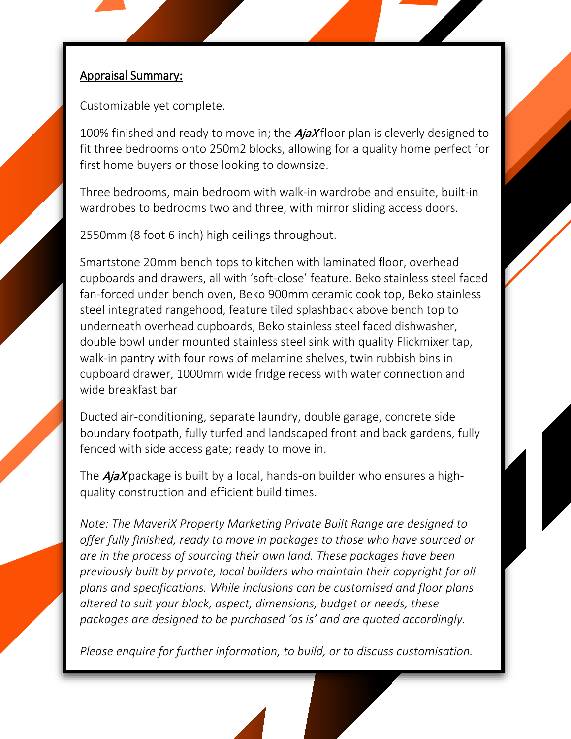## Appraisal Summary:

Customizable yet complete.

100% finished and ready to move in; the  $A_j$  ax floor plan is cleverly designed to fit three bedrooms onto 250m2 blocks, allowing for a quality home perfect for first home buyers or those looking to downsize.

Three bedrooms, main bedroom with walk-in wardrobe and ensuite, built-in wardrobes to bedrooms two and three, with mirror sliding access doors.

2550mm (8 foot 6 inch) high ceilings throughout.

Smartstone 20mm bench tops to kitchen with laminated floor, overhead cupboards and drawers, all with 'soft-close' feature. Beko stainless steel faced fan-forced under bench oven, Beko 900mm ceramic cook top, Beko stainless steel integrated rangehood, feature tiled splashback above bench top to underneath overhead cupboards, Beko stainless steel faced dishwasher, double bowl under mounted stainless steel sink with quality Flickmixer tap, walk-in pantry with four rows of melamine shelves, twin rubbish bins in cupboard drawer, 1000mm wide fridge recess with water connection and wide breakfast bar

Ducted air-conditioning, separate laundry, double garage, concrete side boundary footpath, fully turfed and landscaped front and back gardens, fully fenced with side access gate; ready to move in.

The  $A_j$ *aX* package is built by a local, hands-on builder who ensures a highquality construction and efficient build times.

*Note: The MaveriX Property Marketing Private Built Range are designed to offer fully finished, ready to move in packages to those who have sourced or are in the process of sourcing their own land. These packages have been previously built by private, local builders who maintain their copyright for all plans and specifications. While inclusions can be customised and floor plans altered to suit your block, aspect, dimensions, budget or needs, these packages are designed to be purchased 'as is' and are quoted accordingly.* 

*Please enquire for further information, to build, or to discuss customisation.*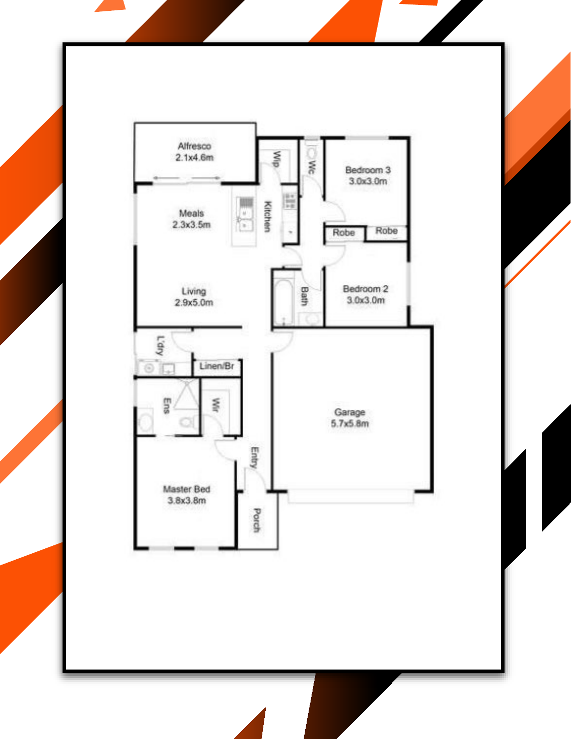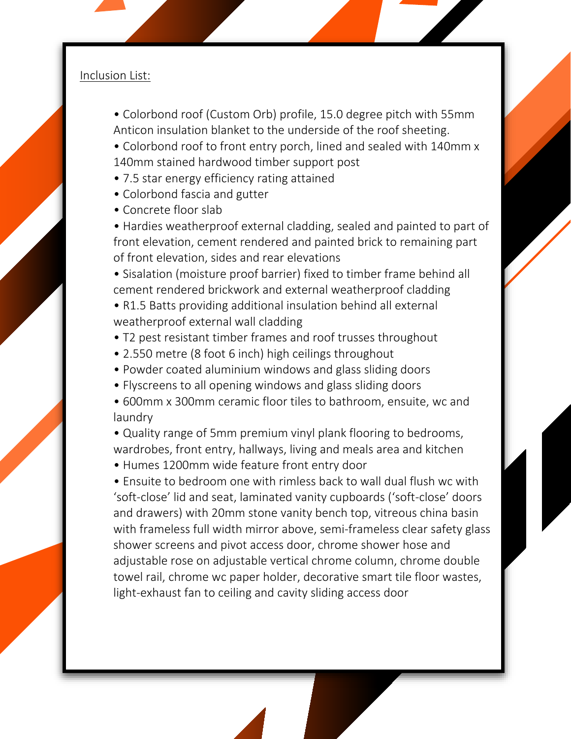## Inclusion List:

- Colorbond roof (Custom Orb) profile, 15.0 degree pitch with 55mm Anticon insulation blanket to the underside of the roof sheeting.
- Colorbond roof to front entry porch, lined and sealed with 140mm x 140mm stained hardwood timber support post
- 7.5 star energy efficiency rating attained
- Colorbond fascia and gutter
- Concrete floor slab
- Hardies weatherproof external cladding, sealed and painted to part of front elevation, cement rendered and painted brick to remaining part of front elevation, sides and rear elevations
- Sisalation (moisture proof barrier) fixed to timber frame behind all cement rendered brickwork and external weatherproof cladding
- R1.5 Batts providing additional insulation behind all external weatherproof external wall cladding
- T2 pest resistant timber frames and roof trusses throughout
- 2.550 metre (8 foot 6 inch) high ceilings throughout
- Powder coated aluminium windows and glass sliding doors
- Flyscreens to all opening windows and glass sliding doors
- 600mm x 300mm ceramic floor tiles to bathroom, ensuite, wc and laundry
- Quality range of 5mm premium vinyl plank flooring to bedrooms, wardrobes, front entry, hallways, living and meals area and kitchen
- Humes 1200mm wide feature front entry door

• Ensuite to bedroom one with rimless back to wall dual flush wc with 'soft-close' lid and seat, laminated vanity cupboards ('soft-close' doors and drawers) with 20mm stone vanity bench top, vitreous china basin with frameless full width mirror above, semi-frameless clear safety glass shower screens and pivot access door, chrome shower hose and adjustable rose on adjustable vertical chrome column, chrome double towel rail, chrome wc paper holder, decorative smart tile floor wastes, light-exhaust fan to ceiling and cavity sliding access door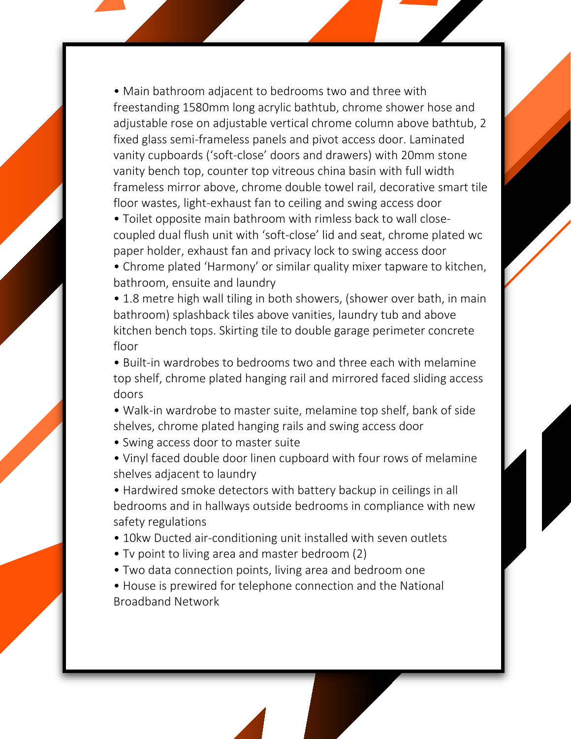• Main bathroom adjacent to bedrooms two and three with freestanding 1580mm long acrylic bathtub, chrome shower hose and adjustable rose on adjustable vertical chrome column above bathtub, 2 fixed glass semi-frameless panels and pivot access door. Laminated vanity cupboards ('soft-close' doors and drawers) with 20mm stone vanity bench top, counter top vitreous china basin with full width frameless mirror above, chrome double towel rail, decorative smart tile floor wastes, light-exhaust fan to ceiling and swing access door

• Toilet opposite main bathroom with rimless back to wall closecoupled dual flush unit with 'soft-close' lid and seat, chrome plated wc paper holder, exhaust fan and privacy lock to swing access door

• Chrome plated 'Harmony' or similar quality mixer tapware to kitchen, bathroom, ensuite and laundry

• 1.8 metre high wall tiling in both showers, (shower over bath, in main bathroom) splashback tiles above vanities, laundry tub and above kitchen bench tops. Skirting tile to double garage perimeter concrete floor

• Built-in wardrobes to bedrooms two and three each with melamine top shelf, chrome plated hanging rail and mirrored faced sliding access doors

- Walk-in wardrobe to master suite, melamine top shelf, bank of side shelves, chrome plated hanging rails and swing access door
- Swing access door to master suite
- Vinyl faced double door linen cupboard with four rows of melamine shelves adjacent to laundry

• Hardwired smoke detectors with battery backup in ceilings in all bedrooms and in hallways outside bedrooms in compliance with new safety regulations

- 10kw Ducted air-conditioning unit installed with seven outlets
- Tv point to living area and master bedroom (2)
- Two data connection points, living area and bedroom one
- House is prewired for telephone connection and the National Broadband Network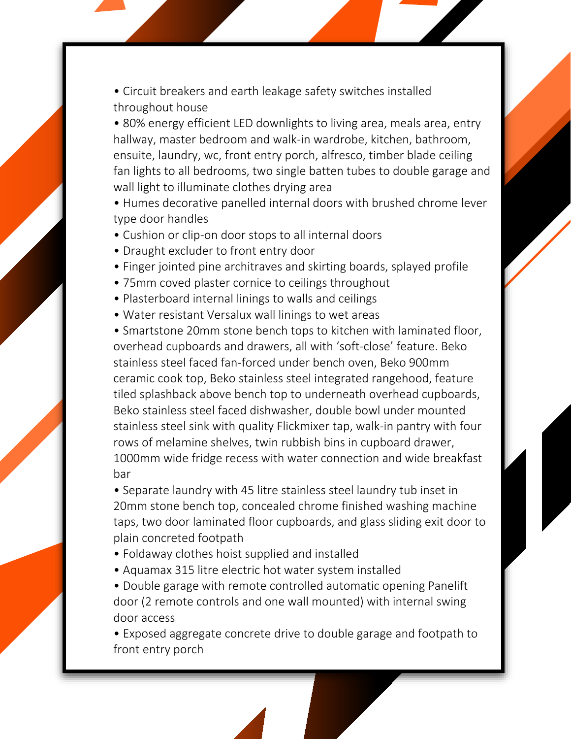• Circuit breakers and earth leakage safety switches installed throughout house

• 80% energy efficient LED downlights to living area, meals area, entry hallway, master bedroom and walk-in wardrobe, kitchen, bathroom, ensuite, laundry, wc, front entry porch, alfresco, timber blade ceiling fan lights to all bedrooms, two single batten tubes to double garage and wall light to illuminate clothes drying area

• Humes decorative panelled internal doors with brushed chrome lever type door handles

- Cushion or clip-on door stops to all internal doors
- Draught excluder to front entry door
- Finger jointed pine architraves and skirting boards, splayed profile
- 75mm coved plaster cornice to ceilings throughout
- Plasterboard internal linings to walls and ceilings
- Water resistant Versalux wall linings to wet areas

• Smartstone 20mm stone bench tops to kitchen with laminated floor, overhead cupboards and drawers, all with 'soft-close' feature. Beko stainless steel faced fan-forced under bench oven, Beko 900mm ceramic cook top, Beko stainless steel integrated rangehood, feature tiled splashback above bench top to underneath overhead cupboards, Beko stainless steel faced dishwasher, double bowl under mounted stainless steel sink with quality Flickmixer tap, walk-in pantry with four rows of melamine shelves, twin rubbish bins in cupboard drawer, 1000mm wide fridge recess with water connection and wide breakfast bar

• Separate laundry with 45 litre stainless steel laundry tub inset in 20mm stone bench top, concealed chrome finished washing machine taps, two door laminated floor cupboards, and glass sliding exit door to plain concreted footpath

- Foldaway clothes hoist supplied and installed
- Aquamax 315 litre electric hot water system installed
- Double garage with remote controlled automatic opening Panelift door (2 remote controls and one wall mounted) with internal swing door access

• Exposed aggregate concrete drive to double garage and footpath to front entry porch